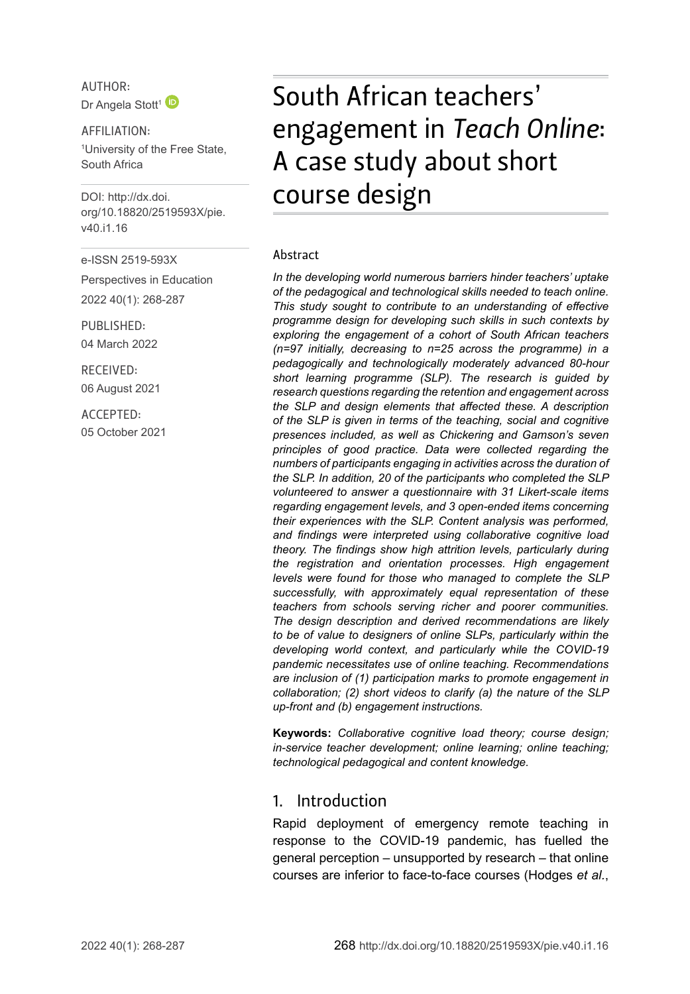AUTHOR: Dr Angela Stott<sup>[1](http://orcid.org/0000-0003-2663-0812)</sup>

AFFILIATION: 1 University of the Free State, South Africa

DOI: [http://dx.doi.](http://dx.doi.org/10.18820/2519593X/pie.v40.i1.16) [org/10.18820/2519593X/p](http://dx.doi.org/10.18820/2519593X/pie.v40.i1.16)ie. v40.i1.16

e-ISSN 2519-593X

Perspectives in Education 2022 40(1): 268-287

PUBLISHED: 04 March 2022

RECEIVED: 06 August 2021

ACCEPTED: 05 October 2021

# South African teachers' engagement in *Teach Online*: A case study about short course design

#### Abstract

*In the developing world numerous barriers hinder teachers' uptake of the pedagogical and technological skills needed to teach online. This study sought to contribute to an understanding of effective programme design for developing such skills in such contexts by exploring the engagement of a cohort of South African teachers (n=97 initially, decreasing to n=25 across the programme) in a pedagogically and technologically moderately advanced 80‑hour short learning programme (SLP). The research is guided by research questions regarding the retention and engagement across the SLP and design elements that affected these. A description of the SLP is given in terms of the teaching, social and cognitive presences included, as well as Chickering and Gamson's seven principles of good practice. Data were collected regarding the numbers of participants engaging in activities across the duration of the SLP. In addition, 20 of the participants who completed the SLP volunteered to answer a questionnaire with 31 Likert-scale items regarding engagement levels, and 3 open-ended items concerning their experiences with the SLP. Content analysis was performed, and findings were interpreted using collaborative cognitive load theory. The findings show high attrition levels, particularly during the registration and orientation processes. High engagement levels were found for those who managed to complete the SLP successfully, with approximately equal representation of these teachers from schools serving richer and poorer communities. The design description and derived recommendations are likely to be of value to designers of online SLPs, particularly within the developing world context, and particularly while the COVID-19 pandemic necessitates use of online teaching. Recommendations are inclusion of (1) participation marks to promote engagement in collaboration; (2) short videos to clarify (a) the nature of the SLP up-front and (b) engagement instructions.*

**Keywords:** *Collaborative cognitive load theory; course design; in-service teacher development; online learning; online teaching; technological pedagogical and content knowledge.*

#### 1. Introduction

Rapid deployment of emergency remote teaching in response to the COVID-19 pandemic, has fuelled the general perception – unsupported by research – that online courses are inferior to face-to-face courses (Hodges *et al.*,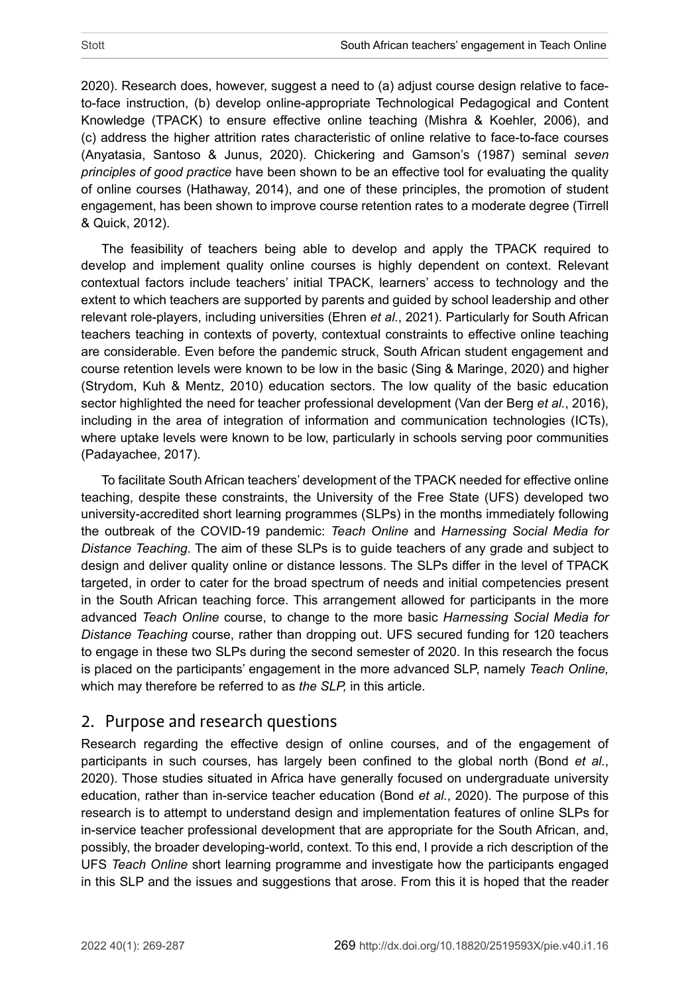2020). Research does, however, suggest a need to (a) adjust course design relative to faceto-face instruction, (b) develop online-appropriate Technological Pedagogical and Content Knowledge (TPACK) to ensure effective online teaching (Mishra & Koehler, 2006), and (c) address the higher attrition rates characteristic of online relative to face-to-face courses (Anyatasia, Santoso & Junus, 2020). Chickering and Gamson's (1987) seminal *seven principles of good practice* have been shown to be an effective tool for evaluating the quality of online courses (Hathaway, 2014), and one of these principles, the promotion of student engagement, has been shown to improve course retention rates to a moderate degree (Tirrell & Quick, 2012).

The feasibility of teachers being able to develop and apply the TPACK required to develop and implement quality online courses is highly dependent on context. Relevant contextual factors include teachers' initial TPACK, learners' access to technology and the extent to which teachers are supported by parents and guided by school leadership and other relevant role-players, including universities (Ehren *et al.*, 2021). Particularly for South African teachers teaching in contexts of poverty, contextual constraints to effective online teaching are considerable. Even before the pandemic struck, South African student engagement and course retention levels were known to be low in the basic (Sing & Maringe, 2020) and higher (Strydom, Kuh & Mentz, 2010) education sectors. The low quality of the basic education sector highlighted the need for teacher professional development (Van der Berg *et al.*, 2016), including in the area of integration of information and communication technologies (ICTs), where uptake levels were known to be low, particularly in schools serving poor communities (Padayachee, 2017).

To facilitate South African teachers' development of the TPACK needed for effective online teaching, despite these constraints, the University of the Free State (UFS) developed two university-accredited short learning programmes (SLPs) in the months immediately following the outbreak of the COVID-19 pandemic: *Teach Online* and *Harnessing Social Media for Distance Teaching*. The aim of these SLPs is to guide teachers of any grade and subject to design and deliver quality online or distance lessons. The SLPs differ in the level of TPACK targeted, in order to cater for the broad spectrum of needs and initial competencies present in the South African teaching force. This arrangement allowed for participants in the more advanced *Teach Online* course, to change to the more basic *Harnessing Social Media for Distance Teaching* course, rather than dropping out. UFS secured funding for 120 teachers to engage in these two SLPs during the second semester of 2020. In this research the focus is placed on the participants' engagement in the more advanced SLP, namely *Teach Online,*  which may therefore be referred to as *the SLP,* in this article.

## 2. Purpose and research questions

Research regarding the effective design of online courses, and of the engagement of participants in such courses, has largely been confined to the global north (Bond *et al.*, 2020). Those studies situated in Africa have generally focused on undergraduate university education, rather than in-service teacher education (Bond *et al.*, 2020). The purpose of this research is to attempt to understand design and implementation features of online SLPs for in-service teacher professional development that are appropriate for the South African, and, possibly, the broader developing-world, context. To this end, I provide a rich description of the UFS *Teach Online* short learning programme and investigate how the participants engaged in this SLP and the issues and suggestions that arose. From this it is hoped that the reader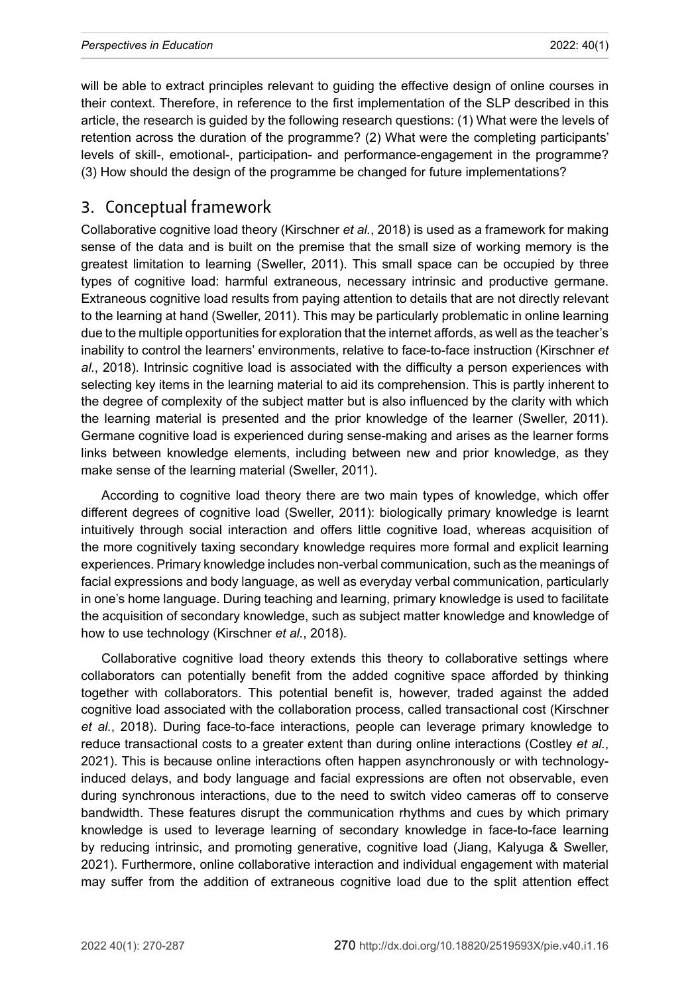will be able to extract principles relevant to guiding the effective design of online courses in their context. Therefore, in reference to the first implementation of the SLP described in this article, the research is guided by the following research questions: (1) What were the levels of retention across the duration of the programme? (2) What were the completing participants' levels of skill-, emotional-, participation- and performance-engagement in the programme? (3) How should the design of the programme be changed for future implementations?

#### 3. Conceptual framework

Collaborative cognitive load theory (Kirschner *et al.*, 2018) is used as a framework for making sense of the data and is built on the premise that the small size of working memory is the greatest limitation to learning (Sweller, 2011). This small space can be occupied by three types of cognitive load: harmful extraneous, necessary intrinsic and productive germane. Extraneous cognitive load results from paying attention to details that are not directly relevant to the learning at hand (Sweller, 2011). This may be particularly problematic in online learning due to the multiple opportunities for exploration that the internet affords, as well as the teacher's inability to control the learners' environments, relative to face-to-face instruction (Kirschner *et al.*, 2018). Intrinsic cognitive load is associated with the difficulty a person experiences with selecting key items in the learning material to aid its comprehension. This is partly inherent to the degree of complexity of the subject matter but is also influenced by the clarity with which the learning material is presented and the prior knowledge of the learner (Sweller, 2011). Germane cognitive load is experienced during sense-making and arises as the learner forms links between knowledge elements, including between new and prior knowledge, as they make sense of the learning material (Sweller, 2011).

According to cognitive load theory there are two main types of knowledge, which offer different degrees of cognitive load (Sweller, 2011): biologically primary knowledge is learnt intuitively through social interaction and offers little cognitive load, whereas acquisition of the more cognitively taxing secondary knowledge requires more formal and explicit learning experiences. Primary knowledge includes non-verbal communication, such as the meanings of facial expressions and body language, as well as everyday verbal communication, particularly in one's home language. During teaching and learning, primary knowledge is used to facilitate the acquisition of secondary knowledge, such as subject matter knowledge and knowledge of how to use technology (Kirschner *et al.*, 2018).

Collaborative cognitive load theory extends this theory to collaborative settings where collaborators can potentially benefit from the added cognitive space afforded by thinking together with collaborators. This potential benefit is, however, traded against the added cognitive load associated with the collaboration process, called transactional cost (Kirschner *et al.*, 2018). During face-to-face interactions, people can leverage primary knowledge to reduce transactional costs to a greater extent than during online interactions (Costley *et al.*, 2021). This is because online interactions often happen asynchronously or with technologyinduced delays, and body language and facial expressions are often not observable, even during synchronous interactions, due to the need to switch video cameras off to conserve bandwidth. These features disrupt the communication rhythms and cues by which primary knowledge is used to leverage learning of secondary knowledge in face-to-face learning by reducing intrinsic, and promoting generative, cognitive load (Jiang, Kalyuga & Sweller, 2021). Furthermore, online collaborative interaction and individual engagement with material may suffer from the addition of extraneous cognitive load due to the split attention effect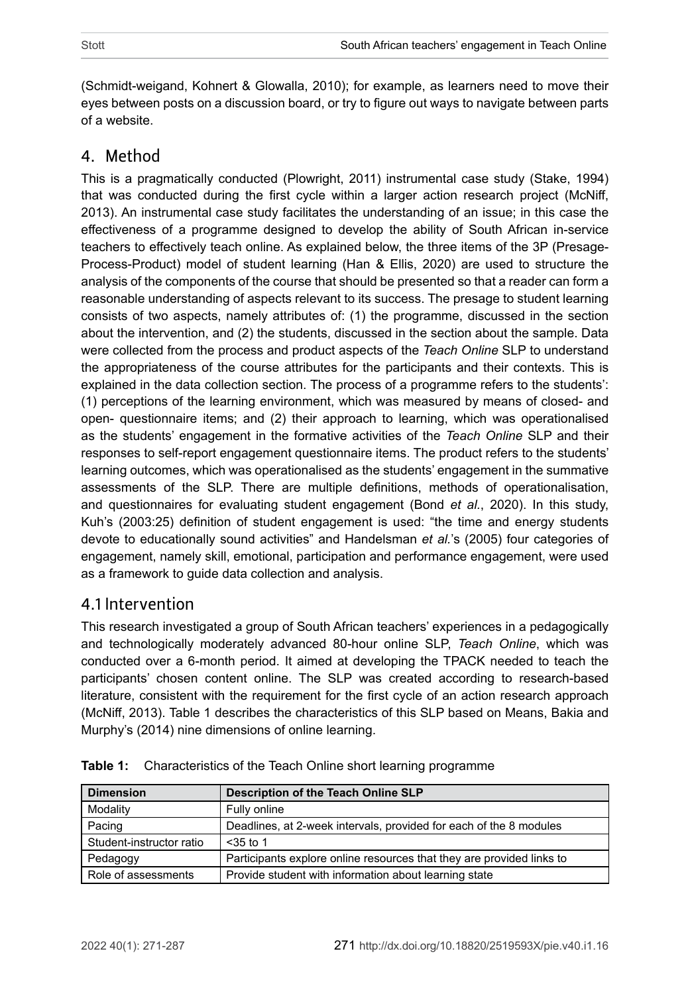(Schmidt-weigand, Kohnert & Glowalla, 2010); for example, as learners need to move their eyes between posts on a discussion board, or try to figure out ways to navigate between parts of a website.

# 4. Method

This is a pragmatically conducted (Plowright, 2011) instrumental case study (Stake, 1994) that was conducted during the first cycle within a larger action research project (McNiff, 2013). An instrumental case study facilitates the understanding of an issue; in this case the effectiveness of a programme designed to develop the ability of South African in-service teachers to effectively teach online. As explained below, the three items of the 3P (Presage-Process-Product) model of student learning (Han & Ellis, 2020) are used to structure the analysis of the components of the course that should be presented so that a reader can form a reasonable understanding of aspects relevant to its success. The presage to student learning consists of two aspects, namely attributes of: (1) the programme, discussed in the section about the intervention, and (2) the students, discussed in the section about the sample. Data were collected from the process and product aspects of the *Teach Online* SLP to understand the appropriateness of the course attributes for the participants and their contexts. This is explained in the data collection section. The process of a programme refers to the students': (1) perceptions of the learning environment, which was measured by means of closed- and open- questionnaire items; and (2) their approach to learning, which was operationalised as the students' engagement in the formative activities of the *Teach Online* SLP and their responses to self-report engagement questionnaire items. The product refers to the students' learning outcomes, which was operationalised as the students' engagement in the summative assessments of the SLP. There are multiple definitions, methods of operationalisation, and questionnaires for evaluating student engagement (Bond *et al.*, 2020). In this study, Kuh's (2003:25) definition of student engagement is used: "the time and energy students devote to educationally sound activities" and Handelsman *et al.*'s (2005) four categories of engagement, namely skill, emotional, participation and performance engagement, were used as a framework to guide data collection and analysis.

# 4.1 Intervention

This research investigated a group of South African teachers' experiences in a pedagogically and technologically moderately advanced 80-hour online SLP, *Teach Online*, which was conducted over a 6-month period. It aimed at developing the TPACK needed to teach the participants' chosen content online. The SLP was created according to research-based literature, consistent with the requirement for the first cycle of an action research approach (McNiff, 2013). [Table](#page-3-0) 1 describes the characteristics of this SLP based on Means, Bakia and Murphy's (2014) nine dimensions of online learning.

| <b>Dimension</b>         | Description of the Teach Online SLP                                   |
|--------------------------|-----------------------------------------------------------------------|
| Modality                 | Fully online                                                          |
| Pacing                   | Deadlines, at 2-week intervals, provided for each of the 8 modules    |
| Student-instructor ratio | $<$ 35 to 1                                                           |
| Pedagogy                 | Participants explore online resources that they are provided links to |
| Role of assessments      | Provide student with information about learning state                 |

<span id="page-3-0"></span>

|  |  | <b>Table 1:</b> Characteristics of the Teach Online short learning programme |  |  |
|--|--|------------------------------------------------------------------------------|--|--|
|--|--|------------------------------------------------------------------------------|--|--|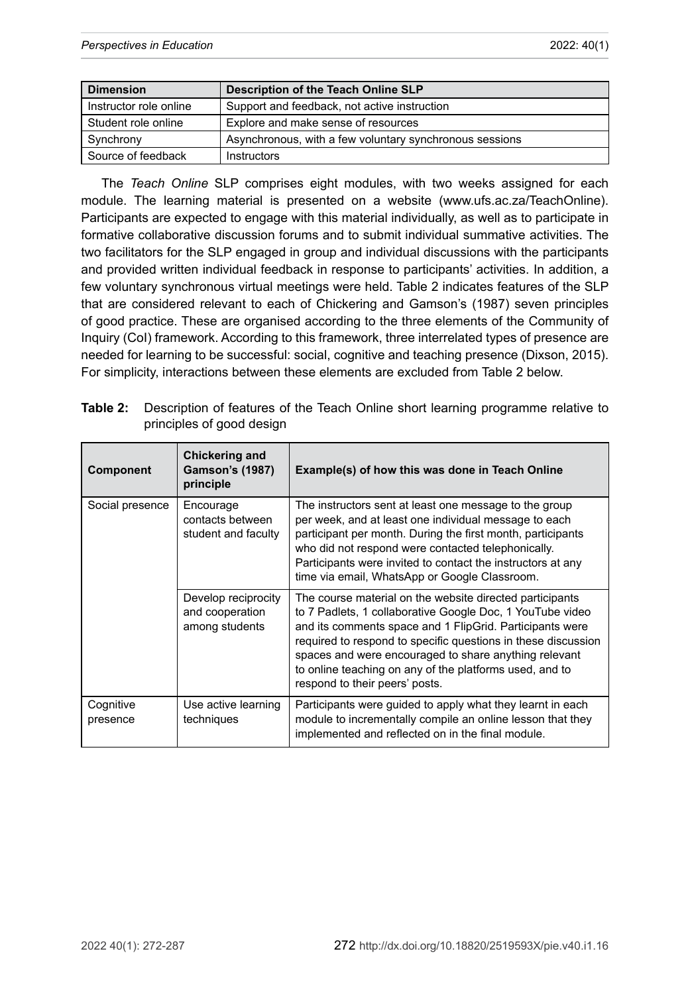| <b>Dimension</b>       | Description of the Teach Online SLP                     |
|------------------------|---------------------------------------------------------|
| Instructor role online | Support and feedback, not active instruction            |
| Student role online    | Explore and make sense of resources                     |
| Synchrony              | Asynchronous, with a few voluntary synchronous sessions |
| Source of feedback     | Instructors                                             |

The *Teach Online* SLP comprises eight modules, with two weeks assigned for each module. The learning material is presented on a website ([www.ufs.ac.za/TeachOnline\)](http://www.ufs.ac.za/TeachOnline). Participants are expected to engage with this material individually, as well as to participate in formative collaborative discussion forums and to submit individual summative activities. The two facilitators for the SLP engaged in group and individual discussions with the participants and provided written individual feedback in response to participants' activities. In addition, a few voluntary synchronous virtual meetings were held. [Table](#page-4-0) 2 indicates features of the SLP that are considered relevant to each of Chickering and Gamson's (1987) seven principles of good practice. These are organised according to the three elements of the Community of Inquiry (CoI) framework. According to this framework, three interrelated types of presence are needed for learning to be successful: social, cognitive and teaching presence (Dixson, 2015). For simplicity, interactions between these elements are excluded from Table 2 below.

<span id="page-4-0"></span>

| Table 2: Description of features of the Teach Online short learning programme relative to |
|-------------------------------------------------------------------------------------------|
| principles of good design                                                                 |

| Component             | <b>Chickering and</b><br><b>Gamson's (1987)</b><br>principle | Example(s) of how this was done in Teach Online                                                                                                                                                                                                                                                                                                                                                          |
|-----------------------|--------------------------------------------------------------|----------------------------------------------------------------------------------------------------------------------------------------------------------------------------------------------------------------------------------------------------------------------------------------------------------------------------------------------------------------------------------------------------------|
| Social presence       | Encourage<br>contacts between<br>student and faculty         | The instructors sent at least one message to the group<br>per week, and at least one individual message to each<br>participant per month. During the first month, participants<br>who did not respond were contacted telephonically.<br>Participants were invited to contact the instructors at any<br>time via email, WhatsApp or Google Classroom.                                                     |
|                       | Develop reciprocity<br>and cooperation<br>among students     | The course material on the website directed participants<br>to 7 Padlets, 1 collaborative Google Doc, 1 YouTube video<br>and its comments space and 1 FlipGrid. Participants were<br>required to respond to specific questions in these discussion<br>spaces and were encouraged to share anything relevant<br>to online teaching on any of the platforms used, and to<br>respond to their peers' posts. |
| Cognitive<br>presence | Use active learning<br>techniques                            | Participants were guided to apply what they learnt in each<br>module to incrementally compile an online lesson that they<br>implemented and reflected on in the final module.                                                                                                                                                                                                                            |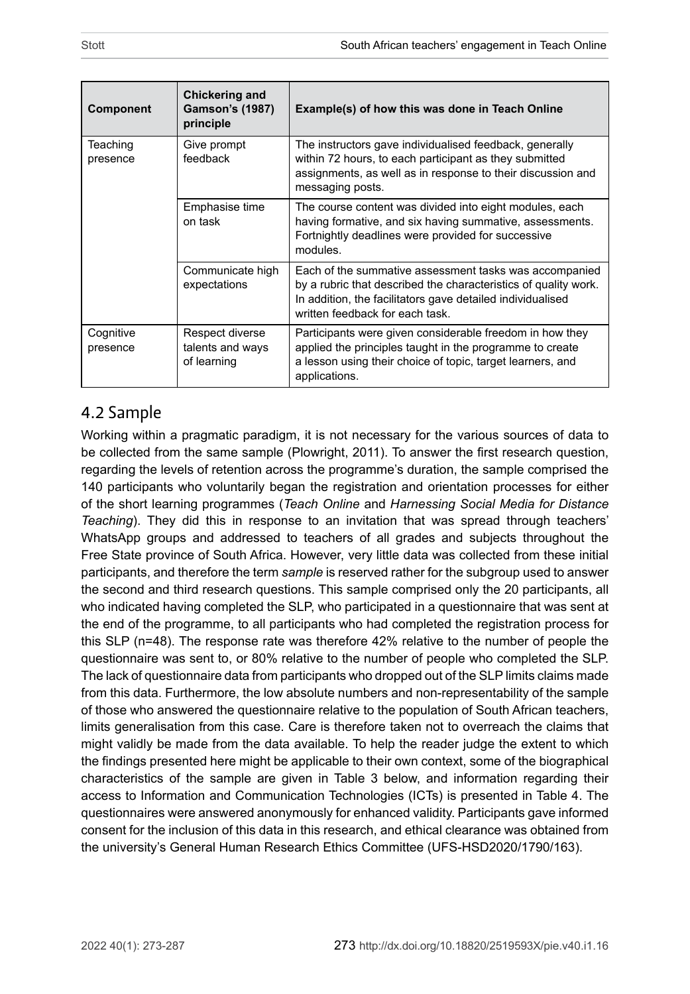| Component             | Chickering and<br><b>Gamson's (1987)</b><br>principle | Example(s) of how this was done in Teach Online                                                                                                                                                                            |  |  |
|-----------------------|-------------------------------------------------------|----------------------------------------------------------------------------------------------------------------------------------------------------------------------------------------------------------------------------|--|--|
| Teaching<br>presence  | Give prompt<br>feedback                               | The instructors gave individualised feedback, generally<br>within 72 hours, to each participant as they submitted<br>assignments, as well as in response to their discussion and<br>messaging posts.                       |  |  |
|                       | Emphasise time<br>on task                             | The course content was divided into eight modules, each<br>having formative, and six having summative, assessments.<br>Fortnightly deadlines were provided for successive<br>modules                                       |  |  |
|                       | Communicate high<br>expectations                      | Each of the summative assessment tasks was accompanied<br>by a rubric that described the characteristics of quality work.<br>In addition, the facilitators gave detailed individualised<br>written feedback for each task. |  |  |
| Cognitive<br>presence | Respect diverse<br>talents and ways<br>of learning    | Participants were given considerable freedom in how they<br>applied the principles taught in the programme to create<br>a lesson using their choice of topic, target learners, and<br>applications.                        |  |  |

## 4.2 Sample

Working within a pragmatic paradigm, it is not necessary for the various sources of data to be collected from the same sample (Plowright, 2011). To answer the first research question, regarding the levels of retention across the programme's duration, the sample comprised the 140 participants who voluntarily began the registration and orientation processes for either of the short learning programmes (*Teach Online* and *Harnessing Social Media for Distance Teaching*). They did this in response to an invitation that was spread through teachers' WhatsApp groups and addressed to teachers of all grades and subjects throughout the Free State province of South Africa. However, very little data was collected from these initial participants, and therefore the term *sample* is reserved rather for the subgroup used to answer the second and third research questions. This sample comprised only the 20 participants, all who indicated having completed the SLP, who participated in a questionnaire that was sent at the end of the programme, to all participants who had completed the registration process for this SLP (n=48). The response rate was therefore 42% relative to the number of people the questionnaire was sent to, or 80% relative to the number of people who completed the SLP. The lack of questionnaire data from participants who dropped out of the SLP limits claims made from this data. Furthermore, the low absolute numbers and non-representability of the sample of those who answered the questionnaire relative to the population of South African teachers, limits generalisation from this case. Care is therefore taken not to overreach the claims that might validly be made from the data available. To help the reader judge the extent to which the findings presented here might be applicable to their own context, some of the biographical characteristics of the sample are given in Table 3 below, and information regarding their access to Information and Communication Technologies (ICTs) is presented in Table 4. The questionnaires were answered anonymously for enhanced validity. Participants gave informed consent for the inclusion of this data in this research, and ethical clearance was obtained from the university's General Human Research Ethics Committee (UFS-HSD2020/1790/163).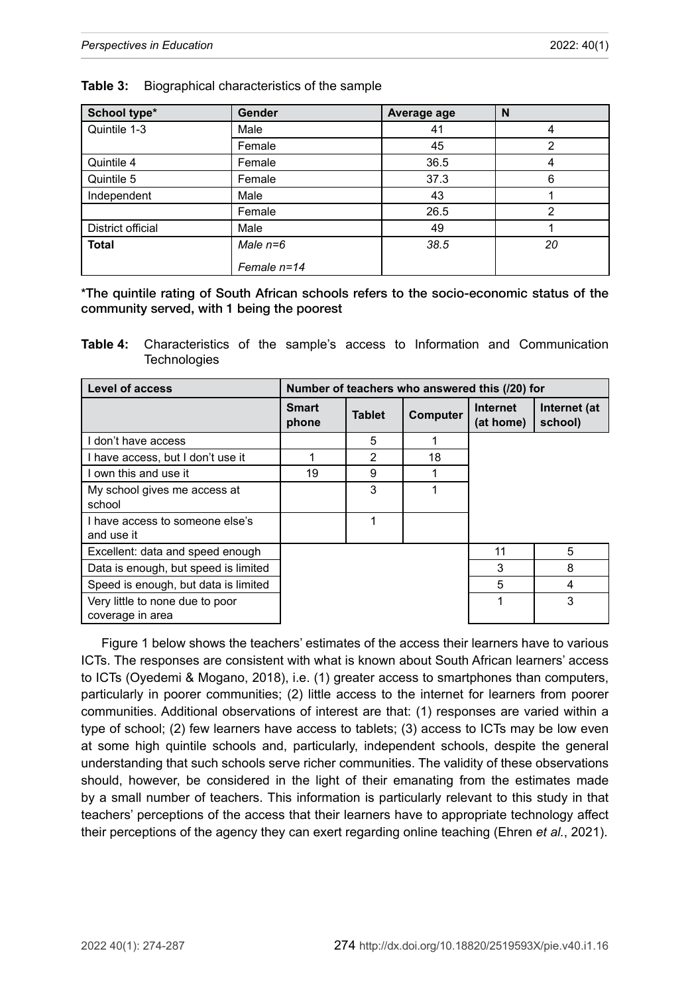| School type*      | Gender        | Average age | N  |
|-------------------|---------------|-------------|----|
| Quintile 1-3      | Male          | 41          | 4  |
|                   | Female        | 45          | 2  |
| Quintile 4        | Female        | 36.5        |    |
| Quintile 5        | Female        | 37.3        | 6  |
| Independent       | Male          | 43          |    |
|                   | Female        | 26.5        | 2  |
| District official | Male          | 49          |    |
| <b>Total</b>      | Male $n=6$    | 38.5        | 20 |
|                   | Female $n=14$ |             |    |

#### <span id="page-6-1"></span>**Table 3:** Biographical characteristics of the sample

\*The quintile rating of South African schools refers to the socio-economic status of the community served, with 1 being the poorest

<span id="page-6-0"></span>**Table 4:** Characteristics of the sample's access to Information and Communication **Technologies** 

| <b>Level of access</b>                        | Number of teachers who answered this (/20) for |               |          |                       |                         |  |
|-----------------------------------------------|------------------------------------------------|---------------|----------|-----------------------|-------------------------|--|
|                                               | <b>Smart</b><br>phone                          | <b>Tablet</b> | Computer | Internet<br>(at home) | Internet (at<br>school) |  |
| I don't have access                           |                                                | 5             |          |                       |                         |  |
| I have access, but I don't use it             |                                                | $\mathcal{P}$ | 18       |                       |                         |  |
| I own this and use it                         | 19                                             | 9             |          |                       |                         |  |
| My school gives me access at<br>school        |                                                | 3             |          |                       |                         |  |
| I have access to someone else's<br>and use it |                                                |               |          |                       |                         |  |
| Excellent: data and speed enough              |                                                |               |          | 11                    | 5                       |  |
| Data is enough, but speed is limited          |                                                |               |          | 3                     | 8                       |  |
| Speed is enough, but data is limited          |                                                |               |          | 5                     | 4                       |  |
| Very little to none due to poor               |                                                |               |          |                       | 3                       |  |
| coverage in area                              |                                                |               |          |                       |                         |  |

[Figure 1](#page-7-0) below shows the teachers' estimates of the access their learners have to various ICTs. The responses are consistent with what is known about South African learners' access to ICTs (Oyedemi & Mogano, 2018), i.e. (1) greater access to smartphones than computers, particularly in poorer communities; (2) little access to the internet for learners from poorer communities. Additional observations of interest are that: (1) responses are varied within a type of school; (2) few learners have access to tablets; (3) access to ICTs may be low even at some high quintile schools and, particularly, independent schools, despite the general understanding that such schools serve richer communities. The validity of these observations should, however, be considered in the light of their emanating from the estimates made by a small number of teachers. This information is particularly relevant to this study in that teachers' perceptions of the access that their learners have to appropriate technology affect their perceptions of the agency they can exert regarding online teaching (Ehren *et al.*, 2021).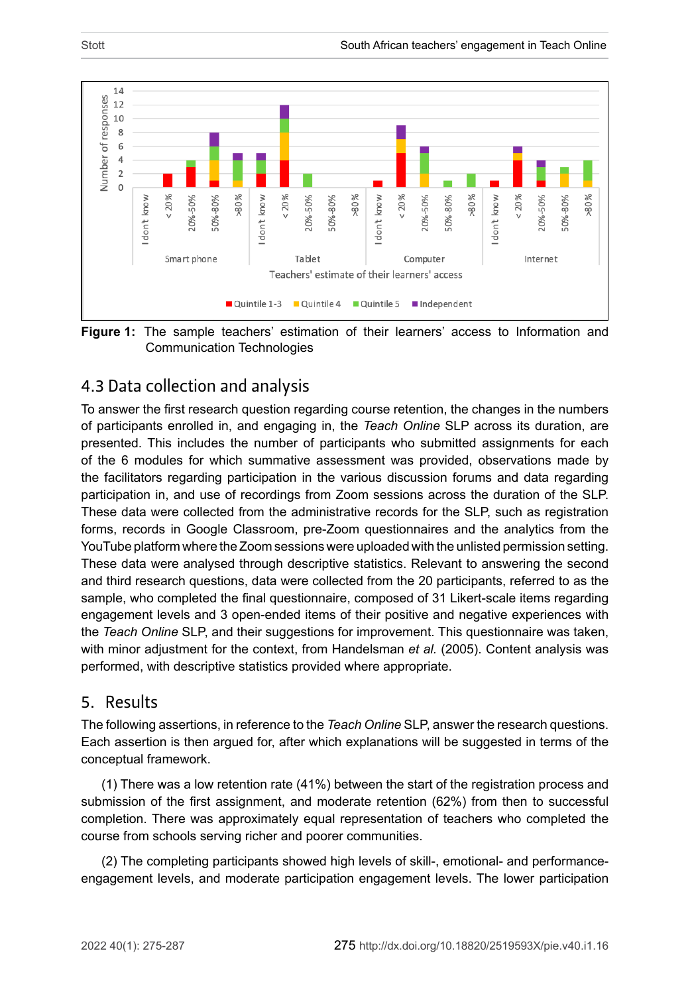

<span id="page-7-0"></span>**Figure 1:** The sample teachers' estimation of their learners' access to Information and Communication Technologies

# 4.3 Data collection and analysis

To answer the first research question regarding course retention, the changes in the numbers of participants enrolled in, and engaging in, the *Teach Online* SLP across its duration, are presented. This includes the number of participants who submitted assignments for each of the 6 modules for which summative assessment was provided, observations made by the facilitators regarding participation in the various discussion forums and data regarding participation in, and use of recordings from Zoom sessions across the duration of the SLP. These data were collected from the administrative records for the SLP, such as registration forms, records in Google Classroom, pre-Zoom questionnaires and the analytics from the YouTube platform where the Zoom sessions were uploaded with the unlisted permission setting. These data were analysed through descriptive statistics. Relevant to answering the second and third research questions, data were collected from the 20 participants, referred to as the sample, who completed the final questionnaire, composed of 31 Likert-scale items regarding engagement levels and 3 open-ended items of their positive and negative experiences with the *Teach Online* SLP, and their suggestions for improvement. This questionnaire was taken, with minor adjustment for the context, from Handelsman *et al.* (2005). Content analysis was performed, with descriptive statistics provided where appropriate.

#### 5. Results

The following assertions, in reference to the *Teach Online* SLP, answer the research questions. Each assertion is then argued for, after which explanations will be suggested in terms of the conceptual framework.

(1) There was a low retention rate (41%) between the start of the registration process and submission of the first assignment, and moderate retention (62%) from then to successful completion. There was approximately equal representation of teachers who completed the course from schools serving richer and poorer communities.

(2) The completing participants showed high levels of skill-, emotional- and performanceengagement levels, and moderate participation engagement levels. The lower participation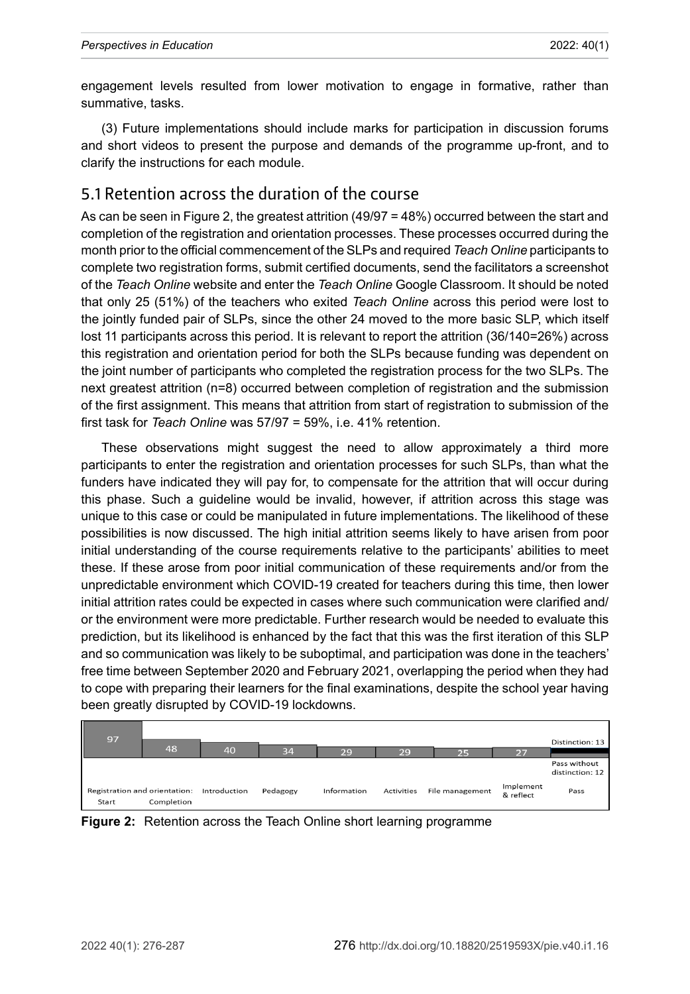engagement levels resulted from lower motivation to engage in formative, rather than summative, tasks.

(3) Future implementations should include marks for participation in discussion forums and short videos to present the purpose and demands of the programme up-front, and to clarify the instructions for each module.

#### 5.1 Retention across the duration of the course

As can be seen in [Figu](#page-8-0)re 2, the greatest attrition (49/97 = 48%) occurred between the start and completion of the registration and orientation processes. These processes occurred during the month prior to the official commencement of the SLPs and required *Teach Online* participants to complete two registration forms, submit certified documents, send the facilitators a screenshot of the *Teach Online* website and enter the *Teach Online* Google Classroom. It should be noted that only 25 (51%) of the teachers who exited *Teach Online* across this period were lost to the jointly funded pair of SLPs, since the other 24 moved to the more basic SLP, which itself lost 11 participants across this period. It is relevant to report the attrition (36/140=26%) across this registration and orientation period for both the SLPs because funding was dependent on the joint number of participants who completed the registration process for the two SLPs. The next greatest attrition (n=8) occurred between completion of registration and the submission of the first assignment. This means that attrition from start of registration to submission of the first task for *Teach Online* was 57/97 = 59%, i.e. 41% retention.

These observations might suggest the need to allow approximately a third more participants to enter the registration and orientation processes for such SLPs, than what the funders have indicated they will pay for, to compensate for the attrition that will occur during this phase. Such a guideline would be invalid, however, if attrition across this stage was unique to this case or could be manipulated in future implementations. The likelihood of these possibilities is now discussed. The high initial attrition seems likely to have arisen from poor initial understanding of the course requirements relative to the participants' abilities to meet these. If these arose from poor initial communication of these requirements and/or from the unpredictable environment which COVID-19 created for teachers during this time, then lower initial attrition rates could be expected in cases where such communication were clarified and/ or the environment were more predictable. Further research would be needed to evaluate this prediction, but its likelihood is enhanced by the fact that this was the first iteration of this SLP and so communication was likely to be suboptimal, and participation was done in the teachers' free time between September 2020 and February 2021, overlapping the period when they had to cope with preparing their learners for the final examinations, despite the school year having been greatly disrupted by COVID-19 lockdowns.



<span id="page-8-0"></span>**Figure 2:** Retention across the Teach Online short learning programme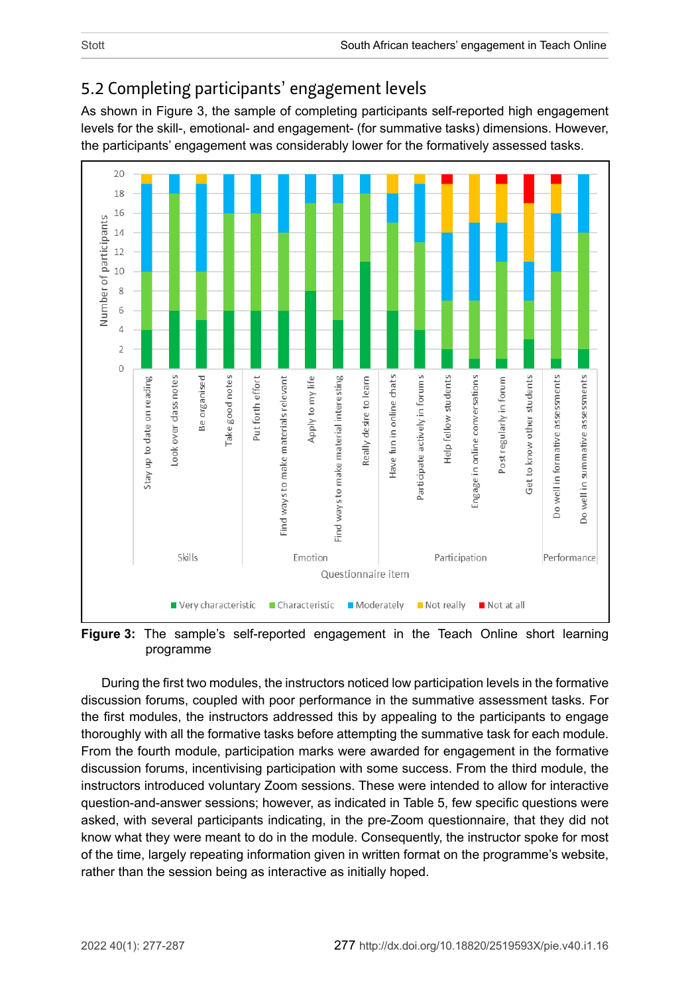# 5.2 Completing participants' engagement levels

As shown in Figure 3, the sample of completing participants self-reported high engagement levels for the skill-, emotional- and engagement- (for summative tasks) dimensions. However, the participants' engagement was considerably lower for the formatively assessed tasks.



**Figure 3:** The sample's self-reported engagement in the Teach Online short learning programme

During the first two modules, the instructors noticed low participation levels in the formative discussion forums, coupled with poor performance in the summative assessment tasks. For the first modules, the instructors addressed this by appealing to the participants to engage thoroughly with all the formative tasks before attempting the summative task for each module. From the fourth module, participation marks were awarded for engagement in the formative discussion forums, incentivising participation with some success. From the third module, the instructors introduced voluntary Zoom sessions. These were intended to allow for interactive question-and-answer sessions; however, as indicated in [Table 5](#page-10-0), few specific questions were asked, with several participants indicating, in the pre-Zoom questionnaire, that they did not know what they were meant to do in the module. Consequently, the instructor spoke for most of the time, largely repeating information given in written format on the programme's website, rather than the session being as interactive as initially hoped.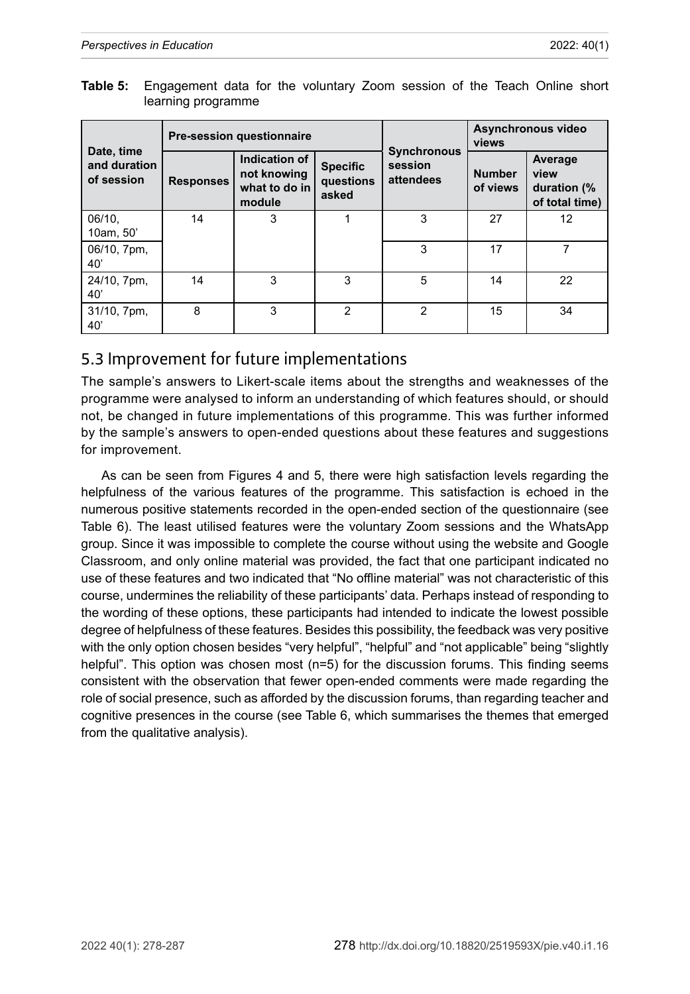<span id="page-10-0"></span>

| Table 5: Engagement data for the voluntary Zoom session of the Teach Online short |  |  |  |  |  |
|-----------------------------------------------------------------------------------|--|--|--|--|--|
| learning programme                                                                |  |  |  |  |  |

|                                          |                  | <b>Pre-session questionnaire</b>                        |                                       |                                            | Asynchronous video<br>views |                                                  |  |
|------------------------------------------|------------------|---------------------------------------------------------|---------------------------------------|--------------------------------------------|-----------------------------|--------------------------------------------------|--|
| Date, time<br>and duration<br>of session | <b>Responses</b> | Indication of<br>not knowing<br>what to do in<br>module | <b>Specific</b><br>questions<br>asked | <b>Synchronous</b><br>session<br>attendees | <b>Number</b><br>of views   | Average<br>view<br>duration (%<br>of total time) |  |
| 06/10.<br>10am, 50'                      | 14               | 3                                                       |                                       | 3                                          | 27                          | 12                                               |  |
| 06/10, 7pm,<br>40'                       |                  |                                                         |                                       | 3                                          | 17                          |                                                  |  |
| 24/10, 7pm,<br>40'                       | 14               | 3                                                       | 3                                     | 5                                          | 14                          | 22                                               |  |
| 31/10, 7pm,<br>40'                       | 8                | 3                                                       | $\mathfrak{p}$                        | $\mathfrak{p}$                             | 15                          | 34                                               |  |

## 5.3 Improvement for future implementations

The sample's answers to Likert-scale items about the strengths and weaknesses of the programme were analysed to inform an understanding of which features should, or should not, be changed in future implementations of this programme. This was further informed by the sample's answers to open-ended questions about these features and suggestions for improvement.

As can be seen from [Figure](#page-11-0)s 4 and [5](#page-11-1), there were high satisfaction levels regarding the helpfulness of the various features of the programme. This satisfaction is echoed in the numerous positive statements recorded in the open-ended section of the questionnaire (see Table 6). The least utilised features were the voluntary Zoom sessions and the WhatsApp group. Since it was impossible to complete the course without using the website and Google Classroom, and only online material was provided, the fact that one participant indicated no use of these features and two indicated that "No offline material" was not characteristic of this course, undermines the reliability of these participants' data. Perhaps instead of responding to the wording of these options, these participants had intended to indicate the lowest possible degree of helpfulness of these features. Besides this possibility, the feedback was very positive with the only option chosen besides "very helpful", "helpful" and "not applicable" being "slightly helpful". This option was chosen most (n=5) for the discussion forums. This finding seems consistent with the observation that fewer open-ended comments were made regarding the role of social presence, such as afforded by the discussion forums, than regarding teacher and cognitive presences in the course (see Table 6, which summarises the themes that emerged from the qualitative analysis).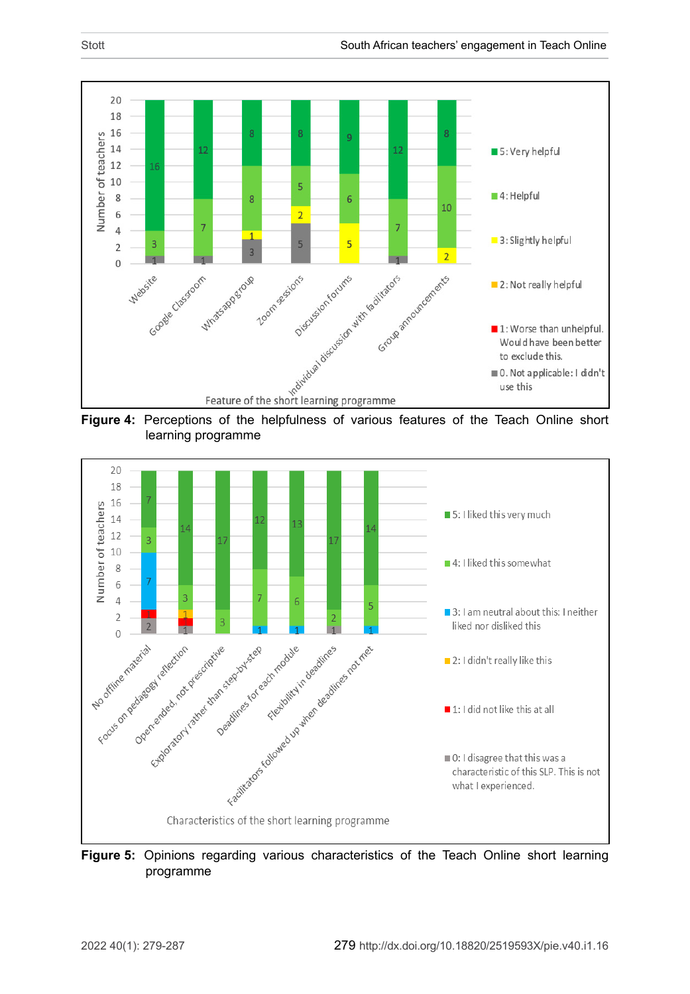

<span id="page-11-0"></span>learning programme



<span id="page-11-1"></span>**Figure 5:** Opinions regarding various characteristics of the Teach Online short learning programme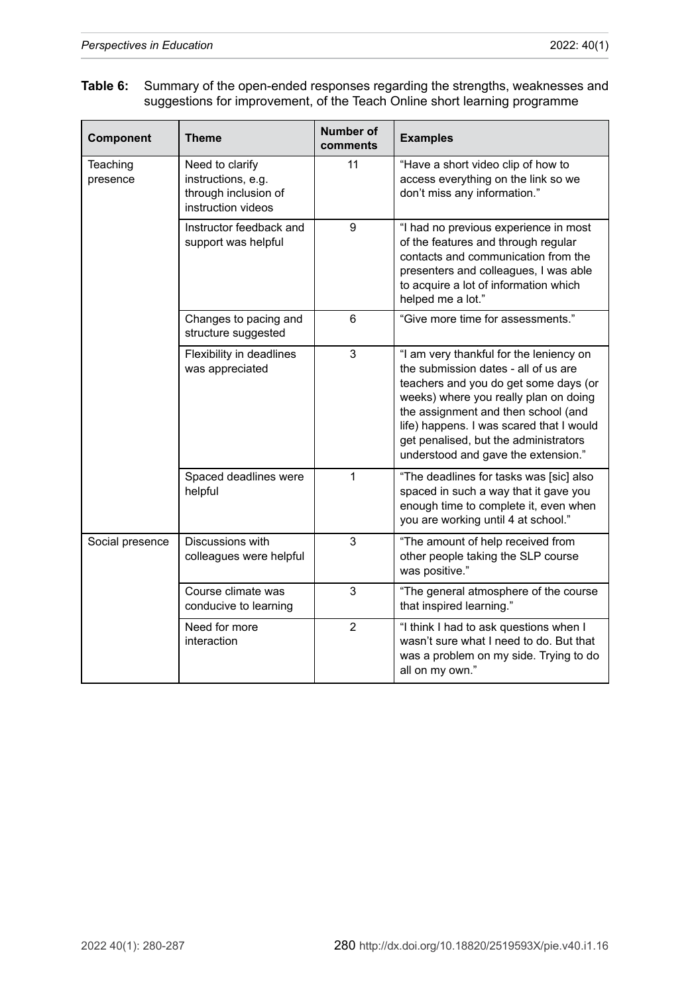| Table 6: Summary of the open-ended responses regarding the strengths, weaknesses and |
|--------------------------------------------------------------------------------------|
| suggestions for improvement, of the Teach Online short learning programme            |

| Component            | <b>Theme</b>                                                                        | <b>Number of</b><br>comments | <b>Examples</b>                                                                                                                                                                                                                                                                                                                      |
|----------------------|-------------------------------------------------------------------------------------|------------------------------|--------------------------------------------------------------------------------------------------------------------------------------------------------------------------------------------------------------------------------------------------------------------------------------------------------------------------------------|
| Teaching<br>presence | Need to clarify<br>instructions, e.g.<br>through inclusion of<br>instruction videos | 11                           | "Have a short video clip of how to<br>access everything on the link so we<br>don't miss any information."                                                                                                                                                                                                                            |
|                      | Instructor feedback and<br>support was helpful                                      | 9                            | "I had no previous experience in most<br>of the features and through regular<br>contacts and communication from the<br>presenters and colleagues, I was able<br>to acquire a lot of information which<br>helped me a lot."                                                                                                           |
|                      | Changes to pacing and<br>structure suggested                                        | 6                            | "Give more time for assessments."                                                                                                                                                                                                                                                                                                    |
|                      | Flexibility in deadlines<br>was appreciated                                         | 3                            | "I am very thankful for the leniency on<br>the submission dates - all of us are<br>teachers and you do get some days (or<br>weeks) where you really plan on doing<br>the assignment and then school (and<br>life) happens. I was scared that I would<br>get penalised, but the administrators<br>understood and gave the extension." |
|                      | Spaced deadlines were<br>helpful                                                    | 1                            | "The deadlines for tasks was [sic] also<br>spaced in such a way that it gave you<br>enough time to complete it, even when<br>you are working until 4 at school."                                                                                                                                                                     |
| Social presence      | Discussions with<br>colleagues were helpful                                         | 3                            | "The amount of help received from<br>other people taking the SLP course<br>was positive."                                                                                                                                                                                                                                            |
|                      | Course climate was<br>conducive to learning                                         | 3                            | "The general atmosphere of the course<br>that inspired learning."                                                                                                                                                                                                                                                                    |
|                      | Need for more<br>interaction                                                        | 2                            | "I think I had to ask questions when I<br>wasn't sure what I need to do. But that<br>was a problem on my side. Trying to do<br>all on my own."                                                                                                                                                                                       |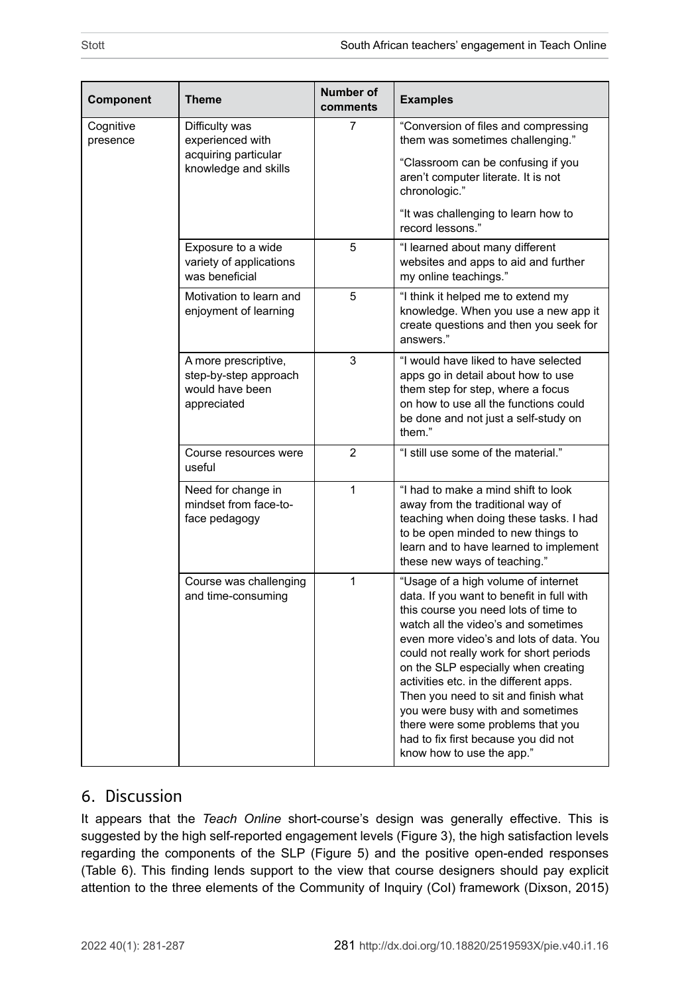| Component             | Theme                                                                              | <b>Number of</b><br>comments | <b>Examples</b>                                                                                                                                                                                                                                                                                                                                                                                                                                                                                                              |
|-----------------------|------------------------------------------------------------------------------------|------------------------------|------------------------------------------------------------------------------------------------------------------------------------------------------------------------------------------------------------------------------------------------------------------------------------------------------------------------------------------------------------------------------------------------------------------------------------------------------------------------------------------------------------------------------|
| Cognitive<br>presence | Difficulty was<br>experienced with<br>acquiring particular<br>knowledge and skills | 7                            | "Conversion of files and compressing<br>them was sometimes challenging."                                                                                                                                                                                                                                                                                                                                                                                                                                                     |
|                       |                                                                                    |                              | "Classroom can be confusing if you<br>aren't computer literate. It is not<br>chronologic."                                                                                                                                                                                                                                                                                                                                                                                                                                   |
|                       |                                                                                    |                              | "It was challenging to learn how to<br>record lessons"                                                                                                                                                                                                                                                                                                                                                                                                                                                                       |
|                       | Exposure to a wide<br>variety of applications<br>was beneficial                    | 5                            | "I learned about many different<br>websites and apps to aid and further<br>my online teachings."                                                                                                                                                                                                                                                                                                                                                                                                                             |
|                       | Motivation to learn and<br>enjoyment of learning                                   | 5                            | "I think it helped me to extend my<br>knowledge. When you use a new app it<br>create questions and then you seek for<br>answers."                                                                                                                                                                                                                                                                                                                                                                                            |
|                       | A more prescriptive,<br>step-by-step approach<br>would have been<br>appreciated    | 3                            | "I would have liked to have selected<br>apps go in detail about how to use<br>them step for step, where a focus<br>on how to use all the functions could<br>be done and not just a self-study on<br>them."                                                                                                                                                                                                                                                                                                                   |
|                       | Course resources were<br>useful                                                    | $\overline{2}$               | "I still use some of the material."                                                                                                                                                                                                                                                                                                                                                                                                                                                                                          |
|                       | Need for change in<br>mindset from face-to-<br>face pedagogy                       | $\overline{1}$               | "I had to make a mind shift to look<br>away from the traditional way of<br>teaching when doing these tasks. I had<br>to be open minded to new things to<br>learn and to have learned to implement<br>these new ways of teaching."                                                                                                                                                                                                                                                                                            |
|                       | Course was challenging<br>and time-consuming                                       | 1                            | "Usage of a high volume of internet<br>data. If you want to benefit in full with<br>this course you need lots of time to<br>watch all the video's and sometimes<br>even more video's and lots of data. You<br>could not really work for short periods<br>on the SLP especially when creating<br>activities etc. in the different apps.<br>Then you need to sit and finish what<br>you were busy with and sometimes<br>there were some problems that you<br>had to fix first because you did not<br>know how to use the app." |

## 6. Discussion

It appears that the *Teach Online* short-course's design was generally effective. This is suggested by the high self-reported engagement levels (Figure 3), the high satisfaction levels regarding the components of the SLP (Figure 5) and the positive open-ended responses (Table 6). This finding lends support to the view that course designers should pay explicit attention to the three elements of the Community of Inquiry (CoI) framework (Dixson, 2015)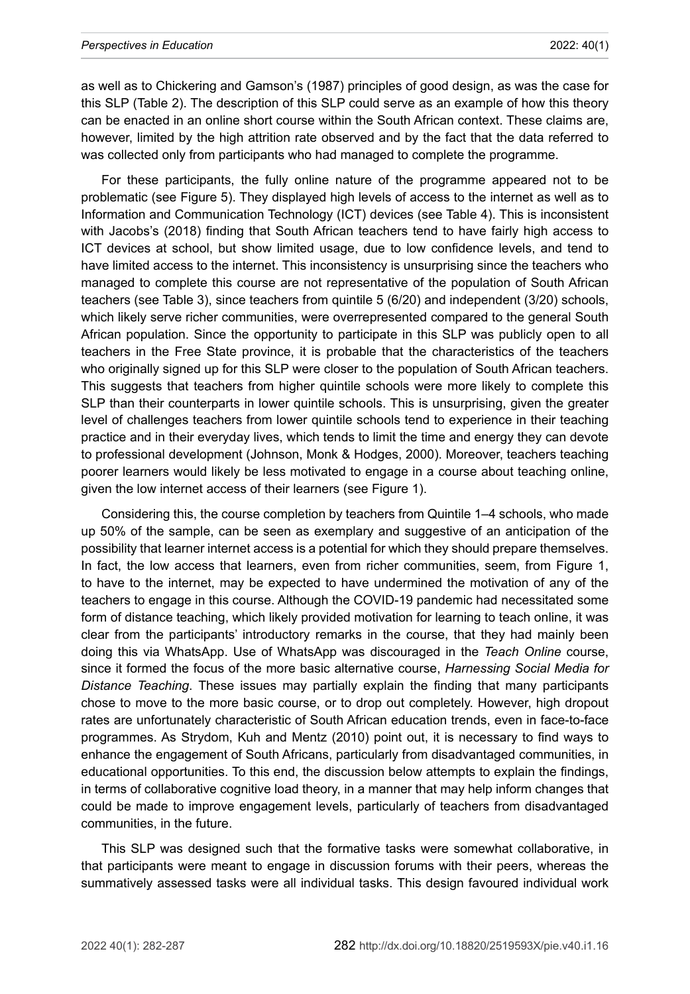#### *Perspectives in Education* 2022: 40(1)

as well as to Chickering and Gamson's (1987) principles of good design, as was the case for this SLP (Table 2). The description of this SLP could serve as an example of how this theory can be enacted in an online short course within the South African context. These claims are, however, limited by the high attrition rate observed and by the fact that the data referred to was collected only from participants who had managed to complete the programme.

For these participants, the fully online nature of the programme appeared not to be problematic (see [Figure](#page-11-1) 5). They displayed high levels of access to the internet as well as to Information and Communication Technology (ICT) devices (see [Table 4](#page-6-0)). This is inconsistent with Jacobs's (2018) finding that South African teachers tend to have fairly high access to ICT devices at school, but show limited usage, due to low confidence levels, and tend to have limited access to the internet. This inconsistency is unsurprising since the teachers who managed to complete this course are not representative of the population of South African teachers (see [Table 3](#page-6-1)), since teachers from quintile 5 (6/20) and independent (3/20) schools, which likely serve richer communities, were overrepresented compared to the general South African population. Since the opportunity to participate in this SLP was publicly open to all teachers in the Free State province, it is probable that the characteristics of the teachers who originally signed up for this SLP were closer to the population of South African teachers. This suggests that teachers from higher quintile schools were more likely to complete this SLP than their counterparts in lower quintile schools. This is unsurprising, given the greater level of challenges teachers from lower quintile schools tend to experience in their teaching practice and in their everyday lives, which tends to limit the time and energy they can devote to professional development (Johnson, Monk & Hodges, 2000). Moreover, teachers teaching poorer learners would likely be less motivated to engage in a course about teaching online, given the low internet access of their learners (see [Figure 1](#page-7-0)).

Considering this, the course completion by teachers from Quintile 1–4 schools, who made up 50% of the sample, can be seen as exemplary and suggestive of an anticipation of the possibility that learner internet access is a potential for which they should prepare themselves. In fact, the low access that learners, even from richer communities, seem, from [Figure 1](#page-7-0), to have to the internet, may be expected to have undermined the motivation of any of the teachers to engage in this course. Although the COVID-19 pandemic had necessitated some form of distance teaching, which likely provided motivation for learning to teach online, it was clear from the participants' introductory remarks in the course, that they had mainly been doing this via WhatsApp. Use of WhatsApp was discouraged in the *Teach Online* course, since it formed the focus of the more basic alternative course, *Harnessing Social Media for Distance Teaching*. These issues may partially explain the finding that many participants chose to move to the more basic course, or to drop out completely. However, high dropout rates are unfortunately characteristic of South African education trends, even in face-to-face programmes. As Strydom, Kuh and Mentz (2010) point out, it is necessary to find ways to enhance the engagement of South Africans, particularly from disadvantaged communities, in educational opportunities. To this end, the discussion below attempts to explain the findings, in terms of collaborative cognitive load theory, in a manner that may help inform changes that could be made to improve engagement levels, particularly of teachers from disadvantaged communities, in the future.

This SLP was designed such that the formative tasks were somewhat collaborative, in that participants were meant to engage in discussion forums with their peers, whereas the summatively assessed tasks were all individual tasks. This design favoured individual work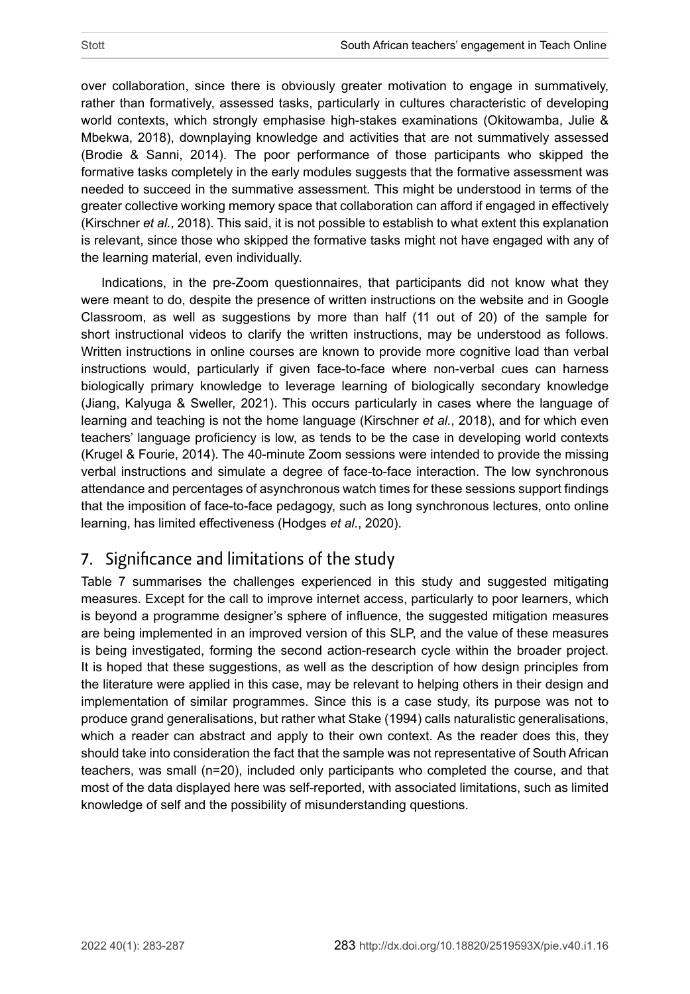over collaboration, since there is obviously greater motivation to engage in summatively, rather than formatively, assessed tasks, particularly in cultures characteristic of developing world contexts, which strongly emphasise high-stakes examinations (Okitowamba, Julie & Mbekwa, 2018), downplaying knowledge and activities that are not summatively assessed (Brodie & Sanni, 2014). The poor performance of those participants who skipped the formative tasks completely in the early modules suggests that the formative assessment was needed to succeed in the summative assessment. This might be understood in terms of the greater collective working memory space that collaboration can afford if engaged in effectively (Kirschner *et al.*, 2018). This said, it is not possible to establish to what extent this explanation is relevant, since those who skipped the formative tasks might not have engaged with any of the learning material, even individually.

Indications, in the pre-Zoom questionnaires, that participants did not know what they were meant to do, despite the presence of written instructions on the website and in Google Classroom, as well as suggestions by more than half (11 out of 20) of the sample for short instructional videos to clarify the written instructions, may be understood as follows. Written instructions in online courses are known to provide more cognitive load than verbal instructions would, particularly if given face-to-face where non-verbal cues can harness biologically primary knowledge to leverage learning of biologically secondary knowledge (Jiang, Kalyuga & Sweller, 2021). This occurs particularly in cases where the language of learning and teaching is not the home language (Kirschner *et al.*, 2018), and for which even teachers' language proficiency is low, as tends to be the case in developing world contexts (Krugel & Fourie, 2014). The 40-minute Zoom sessions were intended to provide the missing verbal instructions and simulate a degree of face-to-face interaction. The low synchronous attendance and percentages of asynchronous watch times for these sessions support findings that the imposition of face-to-face pedagogy, such as long synchronous lectures, onto online learning, has limited effectiveness (Hodges *et al.*, 2020).

# 7. Significance and limitations of the study

[Table 7](#page-16-0) summarises the challenges experienced in this study and suggested mitigating measures. Except for the call to improve internet access, particularly to poor learners, which is beyond a programme designer's sphere of influence, the suggested mitigation measures are being implemented in an improved version of this SLP, and the value of these measures is being investigated, forming the second action-research cycle within the broader project. It is hoped that these suggestions, as well as the description of how design principles from the literature were applied in this case, may be relevant to helping others in their design and implementation of similar programmes. Since this is a case study, its purpose was not to produce grand generalisations, but rather what Stake (1994) calls naturalistic generalisations, which a reader can abstract and apply to their own context. As the reader does this, they should take into consideration the fact that the sample was not representative of South African teachers, was small (n=20), included only participants who completed the course, and that most of the data displayed here was self-reported, with associated limitations, such as limited knowledge of self and the possibility of misunderstanding questions.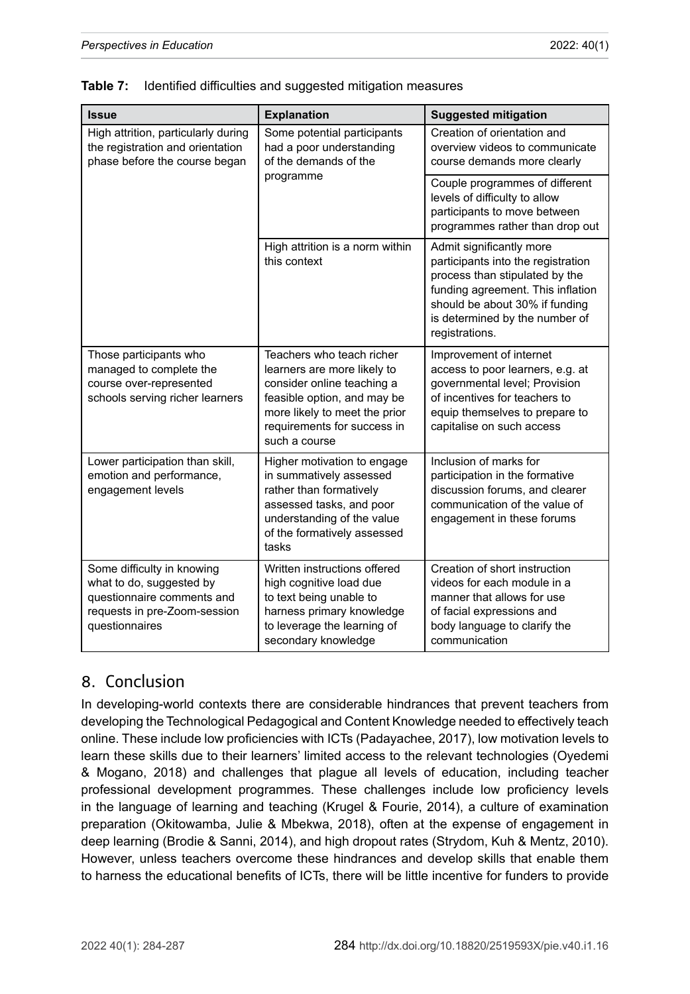| <b>Issue</b>                                                                                                                           | <b>Explanation</b>                                                                                                                                                                                     | <b>Suggested mitigation</b>                                                                                                                                                                                                 |
|----------------------------------------------------------------------------------------------------------------------------------------|--------------------------------------------------------------------------------------------------------------------------------------------------------------------------------------------------------|-----------------------------------------------------------------------------------------------------------------------------------------------------------------------------------------------------------------------------|
| High attrition, particularly during<br>the registration and orientation<br>phase before the course began                               | Some potential participants<br>had a poor understanding<br>of the demands of the                                                                                                                       | Creation of orientation and<br>overview videos to communicate<br>course demands more clearly                                                                                                                                |
|                                                                                                                                        | programme                                                                                                                                                                                              | Couple programmes of different<br>levels of difficulty to allow<br>participants to move between<br>programmes rather than drop out                                                                                          |
|                                                                                                                                        | High attrition is a norm within<br>this context                                                                                                                                                        | Admit significantly more<br>participants into the registration<br>process than stipulated by the<br>funding agreement. This inflation<br>should be about 30% if funding<br>is determined by the number of<br>registrations. |
| Those participants who<br>managed to complete the<br>course over-represented<br>schools serving richer learners                        | Teachers who teach richer<br>learners are more likely to<br>consider online teaching a<br>feasible option, and may be<br>more likely to meet the prior<br>requirements for success in<br>such a course | Improvement of internet<br>access to poor learners, e.g. at<br>governmental level; Provision<br>of incentives for teachers to<br>equip themselves to prepare to<br>capitalise on such access                                |
| Lower participation than skill,<br>emotion and performance,<br>engagement levels                                                       | Higher motivation to engage<br>in summatively assessed<br>rather than formatively<br>assessed tasks, and poor<br>understanding of the value<br>of the formatively assessed<br>tasks                    | Inclusion of marks for<br>participation in the formative<br>discussion forums, and clearer<br>communication of the value of<br>engagement in these forums                                                                   |
| Some difficulty in knowing<br>what to do, suggested by<br>questionnaire comments and<br>requests in pre-Zoom-session<br>questionnaires | Written instructions offered<br>high cognitive load due<br>to text being unable to<br>harness primary knowledge<br>to leverage the learning of<br>secondary knowledge                                  | Creation of short instruction<br>videos for each module in a<br>manner that allows for use<br>of facial expressions and<br>body language to clarify the<br>communication                                                    |

<span id="page-16-0"></span>

## 8. Conclusion

In developing-world contexts there are considerable hindrances that prevent teachers from developing the Technological Pedagogical and Content Knowledge needed to effectively teach online. These include low proficiencies with ICTs (Padayachee, 2017), low motivation levels to learn these skills due to their learners' limited access to the relevant technologies (Oyedemi & Mogano, 2018) and challenges that plague all levels of education, including teacher professional development programmes. These challenges include low proficiency levels in the language of learning and teaching (Krugel & Fourie, 2014), a culture of examination preparation (Okitowamba, Julie & Mbekwa, 2018), often at the expense of engagement in deep learning (Brodie & Sanni, 2014), and high dropout rates (Strydom, Kuh & Mentz, 2010). However, unless teachers overcome these hindrances and develop skills that enable them to harness the educational benefits of ICTs, there will be little incentive for funders to provide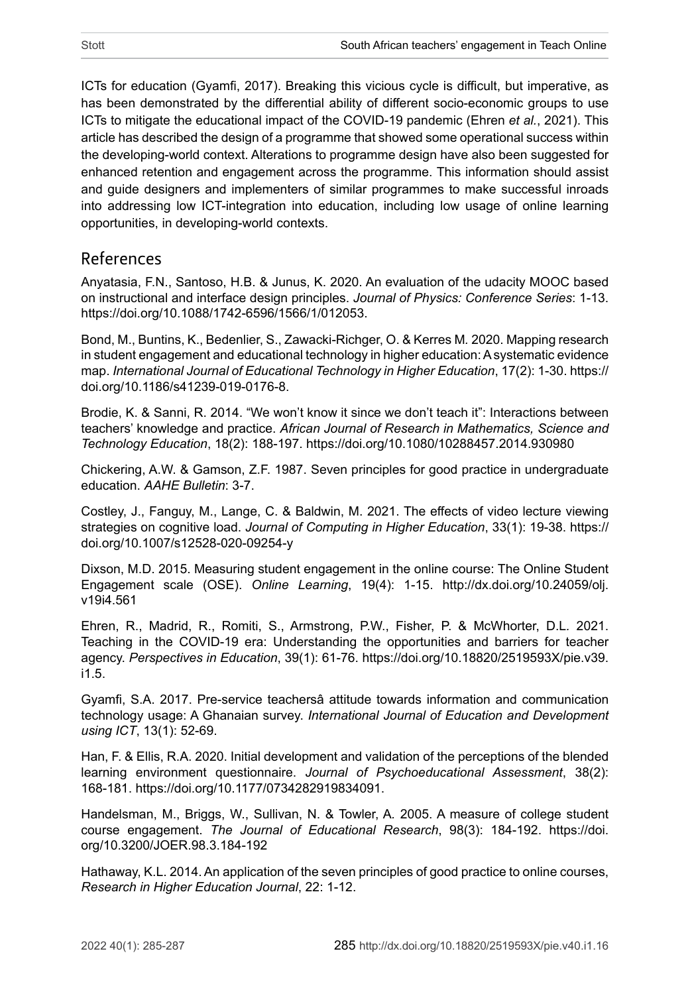ICTs for education (Gyamfi, 2017). Breaking this vicious cycle is difficult, but imperative, as has been demonstrated by the differential ability of different socio-economic groups to use ICTs to mitigate the educational impact of the COVID-19 pandemic (Ehren *et al.*, 2021). This article has described the design of a programme that showed some operational success within the developing-world context. Alterations to programme design have also been suggested for enhanced retention and engagement across the programme. This information should assist and guide designers and implementers of similar programmes to make successful inroads into addressing low ICT-integration into education, including low usage of online learning opportunities, in developing-world contexts.

## References

Anyatasia, F.N., Santoso, H.B. & Junus, K. 2020. An evaluation of the udacity MOOC based on instructional and interface design principles. *Journal of Physics: Conference Series*: 1-13. <https://doi.org/10.1088/1742-6596/1566/1/012053>.

Bond, M., Buntins, K., Bedenlier, S., Zawacki-Richger, O. & Kerres M*.* 2020. Mapping research in student engagement and educational technology in higher education: A systematic evidence map. *International Journal of Educational Technology in Higher Education*, 17(2): 1-30. [https://](https://doi.org/10.1186/s41239-019-0176-8) [doi.org/10.1186/s41239-019-0176-8.](https://doi.org/10.1186/s41239-019-0176-8)

Brodie, K. & Sanni, R. 2014. "We won't know it since we don't teach it": Interactions between teachers' knowledge and practice. *African Journal of Research in Mathematics, Science and Technology Education*, 18(2): 188-197. <https://doi.org/10.1080/10288457.2014.930980>

Chickering, A.W. & Gamson, Z.F. 1987. Seven principles for good practice in undergraduate education. *AAHE Bulletin*: 3-7.

Costley, J., Fanguy, M., Lange, C. & Baldwin, M. 2021. The effects of video lecture viewing strategies on cognitive load. *Journal of Computing in Higher Education*, 33(1): 19-38. [https://](https://doi.org/10.1007/s12528-020-09254-y) [doi.org/10.1007/s12528-020-09254-y](https://doi.org/10.1007/s12528-020-09254-y)

Dixson, M.D. 2015. Measuring student engagement in the online course: The Online Student Engagement scale (OSE). *Online Learning*, 19(4): 1-15. [http://dx.doi.org/10.24059/olj.](http://dx.doi.org/10.24059/olj.v19i4.561) [v19i4.561](http://dx.doi.org/10.24059/olj.v19i4.561)

Ehren, R., Madrid, R., Romiti, S., Armstrong, P.W., Fisher, P. & McWhorter, D.L*.* 2021. Teaching in the COVID-19 era: Understanding the opportunities and barriers for teacher agency. *Perspectives in Education*, 39(1): 61-76. [https://doi.org/10.18820/2519593X/pie.v39.](https://doi.org/10.18820/2519593X/pie.v39.i1.5) [i1.5](https://doi.org/10.18820/2519593X/pie.v39.i1.5).

Gyamfi, S.A. 2017. Pre-service teachersâ attitude towards information and communication technology usage: A Ghanaian survey. *International Journal of Education and Development using ICT*, 13(1): 52-69.

Han, F. & Ellis, R.A. 2020. Initial development and validation of the perceptions of the blended learning environment questionnaire. *Journal of Psychoeducational Assessment*, 38(2): 168-181. <https://doi.org/10.1177/0734282919834091>.

Handelsman, M., Briggs, W., Sullivan, N. & Towler, A*.* 2005. A measure of college student course engagement. *The Journal of Educational Research*, 98(3): 184-192. [https://doi.](https://doi.org/10.3200/JOER.98.3.184-192) [org/10.3200/JOER.98.3.184-192](https://doi.org/10.3200/JOER.98.3.184-192)

Hathaway, K.L. 2014. An application of the seven principles of good practice to online courses, *Research in Higher Education Journal*, 22: 1-12.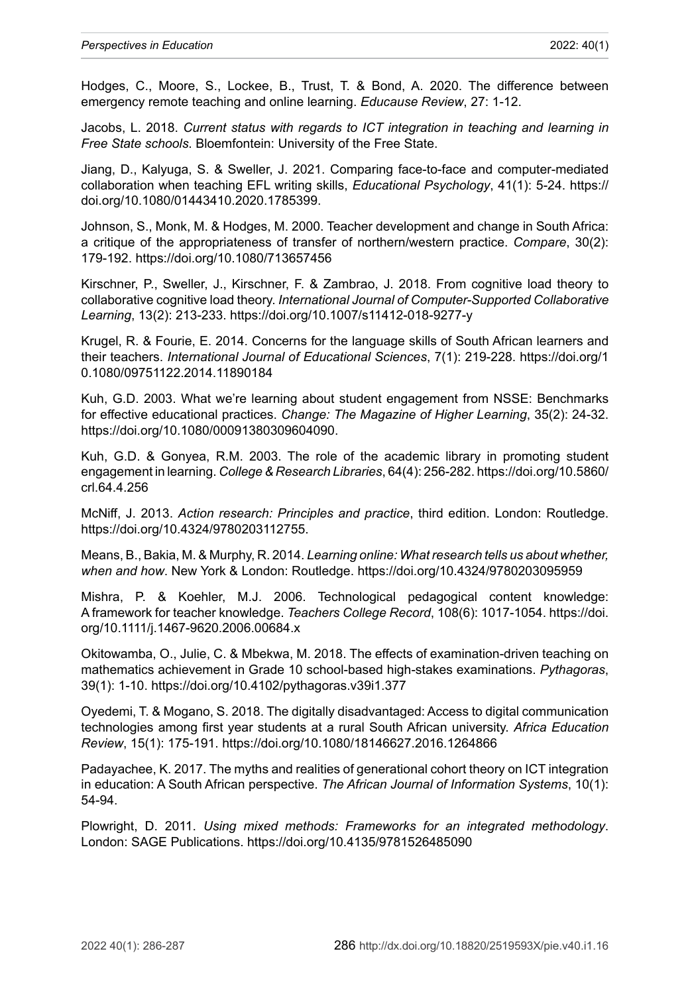Hodges, C., Moore, S., Lockee, B., Trust, T. & Bond, A. 2020. The difference between emergency remote teaching and online learning. *Educause Review*, 27: 1-12.

Jacobs, L. 2018. *Current status with regards to ICT integration in teaching and learning in Free State schools*. Bloemfontein: University of the Free State.

Jiang, D., Kalyuga, S. & Sweller, J. 2021. Comparing face-to-face and computer-mediated collaboration when teaching EFL writing skills, *Educational Psychology*, 41(1): 5-24. [https://](https://doi.org/10.1080/01443410.2020.1785399) [doi.org/10.1080/01443410.2020.1785399.](https://doi.org/10.1080/01443410.2020.1785399)

Johnson, S., Monk, M. & Hodges, M. 2000. Teacher development and change in South Africa: a critique of the appropriateness of transfer of northern/western practice. *Compare*, 30(2): 179-192. <https://doi.org/10.1080/713657456>

Kirschner, P., Sweller, J., Kirschner, F. & Zambrao, J. 2018. From cognitive load theory to collaborative cognitive load theory. *International Journal of Computer-Supported Collaborative Learning*, 13(2): 213-233. <https://doi.org/10.1007/s11412-018-9277-y>

Krugel, R. & Fourie, E. 2014. Concerns for the language skills of South African learners and their teachers. *International Journal of Educational Sciences*, 7(1): 219-228. [https://doi.org/1](https://doi.org/10.1080/09751122.2014.11890184) [0.1080/09751122.2014.11890184](https://doi.org/10.1080/09751122.2014.11890184)

Kuh, G.D. 2003. What we're learning about student engagement from NSSE: Benchmarks for effective educational practices. *Change: The Magazine of Higher Learning*, 35(2): 24-32. [https://doi.org/10.1080/00091380309604090.](https://doi.org/10.1080/00091380309604090)

Kuh, G.D. & Gonyea, R.M. 2003. The role of the academic library in promoting student engagement in learning. *College & Research Libraries*, 64(4): 256-282. [https://doi.org/10.5860/](https://doi.org/10.5860/crl.64.4.256) [crl.64.4.256](https://doi.org/10.5860/crl.64.4.256)

McNiff, J. 2013. *Action research: Principles and practice*, third edition. London: Routledge. <https://doi.org/10.4324/9780203112755>.

Means, B., Bakia, M. & Murphy, R. 2014. *Learning online: What research tells us about whether, when and how*. New York & London: Routledge. <https://doi.org/10.4324/9780203095959>

Mishra, P. & Koehler, M.J. 2006. Technological pedagogical content knowledge: A framework for teacher knowledge. *Teachers College Record*, 108(6): 1017-1054. [https://doi.](https://doi.org/10.1111/j.1467-9620.2006.00684.x) [org/10.1111/j.1467-9620.2006.00684.x](https://doi.org/10.1111/j.1467-9620.2006.00684.x)

Okitowamba, O., Julie, C. & Mbekwa, M. 2018. The effects of examination-driven teaching on mathematics achievement in Grade 10 school-based high-stakes examinations. *Pythagoras*, 39(1): 1-10. <https://doi.org/10.4102/pythagoras.v39i1.377>

Oyedemi, T. & Mogano, S. 2018. The digitally disadvantaged: Access to digital communication technologies among first year students at a rural South African university. *Africa Education Review*, 15(1): 175-191.<https://doi.org/10.1080/18146627.2016.1264866>

Padayachee, K. 2017. The myths and realities of generational cohort theory on ICT integration in education: A South African perspective. *The African Journal of Information Systems*, 10(1): 54-94.

Plowright, D. 2011. *Using mixed methods: Frameworks for an integrated methodology*. London: SAGE Publications. <https://doi.org/10.4135/9781526485090>